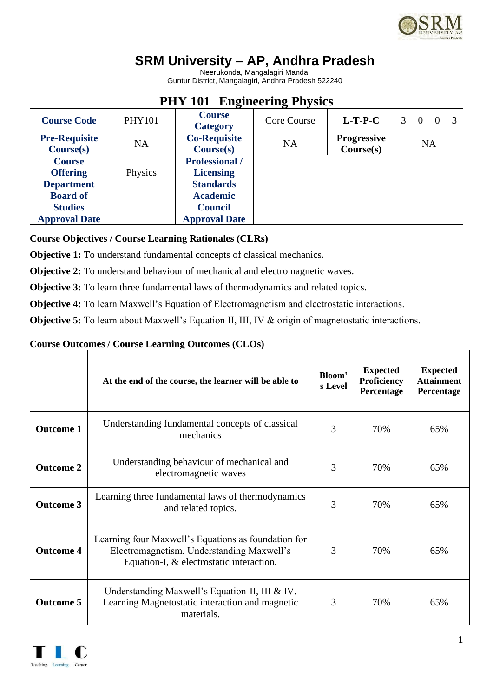

# **SRM University – AP, Andhra Pradesh**

Neerukonda, Mangalagiri Mandal Guntur District, Mangalagiri, Andhra Pradesh 522240

| <b>Course Code</b>                                        | <b>PHY101</b> | <b>Course</b><br><b>Category</b>                              | Core Course | $L-T-P-C$                       | 3         | $\overline{0}$ | $\Omega$ |  |  |  |  |
|-----------------------------------------------------------|---------------|---------------------------------------------------------------|-------------|---------------------------------|-----------|----------------|----------|--|--|--|--|
| <b>Pre-Requisite</b><br>Course(s)                         | <b>NA</b>     | <b>Co-Requisite</b><br>Course(s)                              | <b>NA</b>   | <b>Progressive</b><br>Course(s) | <b>NA</b> |                |          |  |  |  |  |
| <b>Course</b><br><b>Offering</b><br><b>Department</b>     | Physics       | <b>Professional</b> /<br><b>Licensing</b><br><b>Standards</b> |             |                                 |           |                |          |  |  |  |  |
| <b>Board of</b><br><b>Studies</b><br><b>Approval Date</b> |               | <b>Academic</b><br><b>Council</b><br><b>Approval Date</b>     |             |                                 |           |                |          |  |  |  |  |

## **PHY 101 Engineering Physics**

## **Course Objectives / Course Learning Rationales (CLRs)**

**Objective 1:** To understand fundamental concepts of classical mechanics.

**Objective 2:** To understand behaviour of mechanical and electromagnetic waves.

**Objective 3:** To learn three fundamental laws of thermodynamics and related topics.

**Objective 4:** To learn Maxwell's Equation of Electromagnetism and electrostatic interactions.

**Objective 5:** To learn about Maxwell's Equation II, III, IV & origin of magnetostatic interactions.

### **Course Outcomes / Course Learning Outcomes (CLOs)**

|                  | At the end of the course, the learner will be able to                                                                                        | Bloom'<br>s Level | <b>Expected</b><br><b>Proficiency</b><br>Percentage | <b>Expected</b><br><b>Attainment</b><br>Percentage |
|------------------|----------------------------------------------------------------------------------------------------------------------------------------------|-------------------|-----------------------------------------------------|----------------------------------------------------|
| <b>Outcome 1</b> | Understanding fundamental concepts of classical<br>mechanics                                                                                 | 3                 | 70%                                                 | 65%                                                |
| <b>Outcome 2</b> | Understanding behaviour of mechanical and<br>electromagnetic waves                                                                           | 3                 | 70%                                                 | 65%                                                |
| <b>Outcome 3</b> | Learning three fundamental laws of thermodynamics<br>and related topics.                                                                     | 3                 | 70%                                                 | 65%                                                |
| <b>Outcome 4</b> | Learning four Maxwell's Equations as foundation for<br>Electromagnetism. Understanding Maxwell's<br>Equation-I, & electrostatic interaction. | 3                 | 70%                                                 | 65%                                                |
| <b>Outcome 5</b> | Understanding Maxwell's Equation-II, III & IV.<br>Learning Magnetostatic interaction and magnetic<br>materials.                              | 3                 | 70%                                                 | 65%                                                |

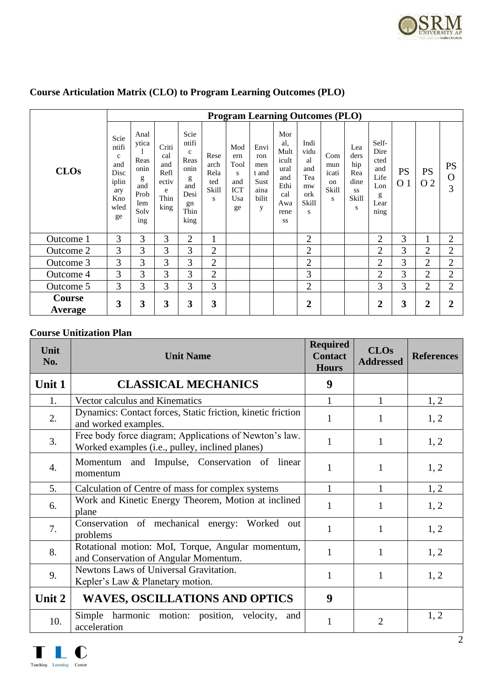

| <b>Program Learning Outcomes (PLO)</b> |                                                                                   |                                                                         |                                                           |                                                                                         |                                           |                                                           |                                                           |                                                                                |                                                             |                                         |                                                       |                                                                  |                             |                  |                               |
|----------------------------------------|-----------------------------------------------------------------------------------|-------------------------------------------------------------------------|-----------------------------------------------------------|-----------------------------------------------------------------------------------------|-------------------------------------------|-----------------------------------------------------------|-----------------------------------------------------------|--------------------------------------------------------------------------------|-------------------------------------------------------------|-----------------------------------------|-------------------------------------------------------|------------------------------------------------------------------|-----------------------------|------------------|-------------------------------|
| <b>CLOs</b>                            | Scie<br>ntifi<br>$\mathbf{C}$<br>and<br>Disc<br>iplin<br>ary<br>Kno<br>wled<br>ge | Anal<br>ytica<br>Reas<br>onin<br>g<br>and<br>Prob<br>lem<br>Solv<br>ing | Criti<br>cal<br>and<br>Refl<br>ectiv<br>e<br>Thin<br>king | Scie<br>ntifi<br>$\mathbf{c}$<br>Reas<br>onin<br>g<br>and<br>Desi<br>gn<br>Thin<br>king | Rese<br>arch<br>Rela<br>ted<br>Skill<br>S | Mod<br>ern<br>Tool<br>S<br>and<br><b>ICT</b><br>Usa<br>ge | Envi<br>ron<br>men<br>t and<br>Sust<br>aina<br>bilit<br>y | Mor<br>al.<br>Mult<br>icult<br>ural<br>and<br>Ethi<br>cal<br>Awa<br>rene<br>SS | Indi<br>vidu<br>al<br>and<br>Tea<br>mw<br>ork<br>Skill<br>S | Com<br>mun<br>icati<br>on<br>Skill<br>S | Lea<br>ders<br>hip<br>Rea<br>dine<br>SS<br>Skill<br>S | Self-<br>Dire<br>cted<br>and<br>Life<br>Lon<br>g<br>Lear<br>ning | <b>PS</b><br>O <sub>1</sub> | <b>PS</b><br>O 2 | <b>PS</b><br>$\mathbf O$<br>3 |
| Outcome 1                              | 3                                                                                 | 3                                                                       | 3                                                         | $\overline{2}$                                                                          | $\mathbf{1}$                              |                                                           |                                                           |                                                                                | $\overline{2}$                                              |                                         |                                                       | $\overline{2}$                                                   | 3                           | 1                | $\overline{2}$                |
| Outcome 2                              | 3                                                                                 | 3                                                                       | $\overline{3}$                                            | 3                                                                                       | $\overline{2}$                            |                                                           |                                                           |                                                                                | $\overline{2}$                                              |                                         |                                                       | $\overline{2}$                                                   | 3                           | $\overline{2}$   | $\overline{2}$                |
| Outcome 3                              | 3                                                                                 | $\overline{3}$                                                          | 3                                                         | 3                                                                                       | $\overline{2}$                            |                                                           |                                                           |                                                                                | $\overline{2}$                                              |                                         |                                                       | $\overline{2}$                                                   | 3                           | $\overline{2}$   | $\overline{2}$                |
| Outcome 4                              | 3                                                                                 | 3                                                                       | 3                                                         | 3                                                                                       | $\overline{2}$                            |                                                           |                                                           |                                                                                | 3                                                           |                                         |                                                       | $\overline{2}$                                                   | 3                           | $\overline{2}$   | $\overline{2}$                |
| Outcome 5                              | 3                                                                                 | 3                                                                       | 3                                                         | 3                                                                                       | 3                                         |                                                           |                                                           |                                                                                | $\overline{2}$                                              |                                         |                                                       | 3                                                                | 3                           | $\overline{2}$   | $\overline{2}$                |
| Course<br>Average                      | 3                                                                                 | 3                                                                       | 3                                                         | 3                                                                                       | 3                                         |                                                           |                                                           |                                                                                | $\overline{2}$                                              |                                         |                                                       | $\overline{2}$                                                   | 3                           | $\overline{2}$   | $\overline{2}$                |

## **Course Articulation Matrix (CLO) to Program Learning Outcomes (PLO)**

## **Course Unitization Plan**

| Unit<br>No. | <b>Unit Name</b>                                                                                          | <b>Required</b><br><b>Contact</b><br><b>Hours</b> | <b>CLOs</b><br><b>Addressed</b> | <b>References</b> |
|-------------|-----------------------------------------------------------------------------------------------------------|---------------------------------------------------|---------------------------------|-------------------|
| Unit 1      | <b>CLASSICAL MECHANICS</b>                                                                                | 9                                                 |                                 |                   |
| 1.          | Vector calculus and Kinematics                                                                            |                                                   | 1                               | 1, 2              |
| 2.          | Dynamics: Contact forces, Static friction, kinetic friction<br>and worked examples.                       | 1                                                 | $\mathbf{1}$                    | 1, 2              |
| 3.          | Free body force diagram; Applications of Newton's law.<br>Worked examples (i.e., pulley, inclined planes) | 1                                                 | 1                               | 1, 2              |
| 4.          | Momentum and Impulse, Conservation of linear<br>momentum                                                  | 1                                                 | 1                               | 1, 2              |
| 5.          | Calculation of Centre of mass for complex systems                                                         | 1                                                 | 1                               | 1, 2              |
| 6.          | Work and Kinetic Energy Theorem, Motion at inclined<br>plane                                              | 1                                                 | 1                               | 1, 2              |
| 7.          | Conservation of mechanical energy: Worked<br>out<br>problems                                              | 1                                                 | $\mathbf{1}$                    | 1, 2              |
| 8.          | Rotational motion: MoI, Torque, Angular momentum,<br>and Conservation of Angular Momentum.                | 1                                                 | $\mathbf{1}$                    | 1, 2              |
| 9.          | Newtons Laws of Universal Gravitation.<br>Kepler's Law & Planetary motion.                                | 1                                                 | 1                               | 1, 2              |
| Unit 2      | <b>WAVES, OSCILLATIONS AND OPTICS</b>                                                                     | 9                                                 |                                 |                   |
| 10.         | Simple harmonic motion: position, velocity,<br>and<br>acceleration                                        | 1                                                 | $\overline{2}$                  | 1, 2              |

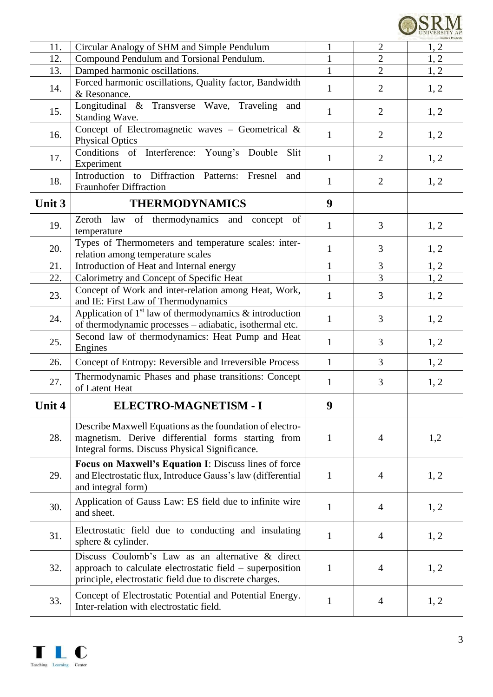

| 11.    | Circular Analogy of SHM and Simple Pendulum                                                                                                                      | $\mathbf{1}$ | $\overline{2}$ | 1, 2 |
|--------|------------------------------------------------------------------------------------------------------------------------------------------------------------------|--------------|----------------|------|
| 12.    | Compound Pendulum and Torsional Pendulum.                                                                                                                        | $\mathbf{1}$ | $\overline{2}$ | 1, 2 |
| 13.    | Damped harmonic oscillations.                                                                                                                                    | $\mathbf{1}$ | $\overline{2}$ | 1, 2 |
| 14.    | Forced harmonic oscillations, Quality factor, Bandwidth<br>& Resonance.                                                                                          | $\mathbf{1}$ | $\overline{2}$ | 1, 2 |
| 15.    | Longitudinal & Transverse Wave, Traveling<br>and<br>Standing Wave.                                                                                               | $\mathbf{1}$ | $\overline{2}$ | 1, 2 |
| 16.    | Concept of Electromagnetic waves - Geometrical &<br><b>Physical Optics</b>                                                                                       | $\mathbf{1}$ | $\overline{2}$ | 1, 2 |
| 17.    | Conditions of Interference: Young's Double<br>Slit<br>Experiment                                                                                                 | $\mathbf{1}$ | $\overline{2}$ | 1, 2 |
| 18.    | Introduction to Diffraction Patterns: Fresnel<br>and<br><b>Fraunhofer Diffraction</b>                                                                            | $\mathbf{1}$ | $\overline{2}$ | 1, 2 |
| Unit 3 | <b>THERMODYNAMICS</b>                                                                                                                                            | 9            |                |      |
| 19.    | Zeroth law of thermodynamics and<br>concept<br>of<br>temperature                                                                                                 | $\mathbf{1}$ | 3              | 1, 2 |
| 20.    | Types of Thermometers and temperature scales: inter-<br>relation among temperature scales                                                                        | $\mathbf{1}$ | 3              | 1, 2 |
| 21.    | Introduction of Heat and Internal energy                                                                                                                         | $\mathbf{1}$ | 3              | 1, 2 |
| 22.    | Calorimetry and Concept of Specific Heat                                                                                                                         | $\mathbf{1}$ | $\overline{3}$ | 1, 2 |
| 23.    | Concept of Work and inter-relation among Heat, Work,<br>and IE: First Law of Thermodynamics                                                                      | $\mathbf{1}$ | 3              | 1, 2 |
| 24.    | Application of $1st$ law of thermodynamics & introduction<br>of thermodynamic processes - adiabatic, isothermal etc.                                             | $\mathbf{1}$ | 3              | 1, 2 |
| 25.    | Second law of thermodynamics: Heat Pump and Heat<br>Engines                                                                                                      | $\mathbf{1}$ | 3              | 1, 2 |
| 26.    | Concept of Entropy: Reversible and Irreversible Process                                                                                                          | $\mathbf{1}$ | 3              | 1, 2 |
| 27.    | Thermodynamic Phases and phase transitions: Concept<br>of Latent Heat                                                                                            | $\mathbf{1}$ | 3              | 1, 2 |
| Unit 4 | ELECTRO-MAGNETISM - I                                                                                                                                            | 9            |                |      |
| 28.    | Describe Maxwell Equations as the foundation of electro-<br>magnetism. Derive differential forms starting from<br>Integral forms. Discuss Physical Significance. | $\mathbf{1}$ | $\overline{4}$ | 1,2  |
| 29.    | Focus on Maxwell's Equation I: Discuss lines of force<br>and Electrostatic flux, Introduce Gauss's law (differential<br>and integral form)                       | $\mathbf{1}$ | $\overline{4}$ | 1, 2 |
| 30.    | Application of Gauss Law: ES field due to infinite wire<br>and sheet.                                                                                            | 1            | $\overline{4}$ | 1, 2 |
| 31.    | Electrostatic field due to conducting and insulating<br>sphere & cylinder.                                                                                       | $\mathbf{1}$ | $\overline{4}$ | 1, 2 |
| 32.    | Discuss Coulomb's Law as an alternative & direct<br>approach to calculate electrostatic field – superposition                                                    | $\mathbf{1}$ | $\overline{4}$ | 1, 2 |
|        | principle, electrostatic field due to discrete charges.                                                                                                          |              |                |      |

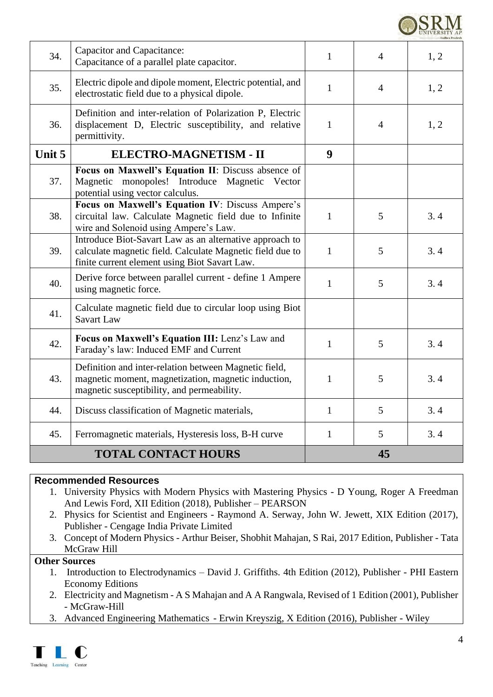| <b>UNIVERSITY</b> |
|-------------------|
|                   |

|        | <b>TOTAL CONTACT HOURS</b>                                                                                                                                            |              | 45              |      |
|--------|-----------------------------------------------------------------------------------------------------------------------------------------------------------------------|--------------|-----------------|------|
| 45.    | Ferromagnetic materials, Hysteresis loss, B-H curve                                                                                                                   | $\mathbf{1}$ | $5\overline{)}$ | 3.4  |
| 44.    | Discuss classification of Magnetic materials,                                                                                                                         | $\mathbf{1}$ | 5               | 3.4  |
| 43.    | Definition and inter-relation between Magnetic field,<br>magnetic moment, magnetization, magnetic induction,<br>magnetic susceptibility, and permeability.            | $\mathbf{1}$ | 5               | 3.4  |
| 42.    | Focus on Maxwell's Equation III: Lenz's Law and<br>Faraday's law: Induced EMF and Current                                                                             | $\mathbf{1}$ | 5               | 3.4  |
| 41.    | Calculate magnetic field due to circular loop using Biot<br><b>Savart Law</b>                                                                                         |              |                 |      |
| 40.    | Derive force between parallel current - define 1 Ampere<br>using magnetic force.                                                                                      | $\mathbf{1}$ | 5               | 3.4  |
| 39.    | Introduce Biot-Savart Law as an alternative approach to<br>calculate magnetic field. Calculate Magnetic field due to<br>finite current element using Biot Savart Law. | $\mathbf{1}$ | 5               | 3.4  |
| 38.    | Focus on Maxwell's Equation IV: Discuss Ampere's<br>circuital law. Calculate Magnetic field due to Infinite<br>wire and Solenoid using Ampere's Law.                  | $\mathbf{1}$ | 5               | 3.4  |
| 37.    | Focus on Maxwell's Equation II: Discuss absence of<br>Magnetic monopoles! Introduce Magnetic Vector<br>potential using vector calculus.                               |              |                 |      |
| Unit 5 | ELECTRO-MAGNETISM - II                                                                                                                                                | 9            |                 |      |
| 36.    | Definition and inter-relation of Polarization P, Electric<br>displacement D, Electric susceptibility, and relative<br>permittivity.                                   | $\mathbf{1}$ | $\overline{4}$  | 1, 2 |
| 35.    | Electric dipole and dipole moment, Electric potential, and<br>electrostatic field due to a physical dipole.                                                           | $\mathbf{1}$ | $\overline{4}$  | 1, 2 |
| 34.    | Capacitor and Capacitance:<br>Capacitance of a parallel plate capacitor.                                                                                              | $\mathbf{1}$ | 4               | 1, 2 |
|        |                                                                                                                                                                       |              |                 |      |

### **Recommended Resources**

- 1. University Physics with Modern Physics with Mastering Physics D Young, Roger A Freedman And Lewis Ford, XII Edition (2018), Publisher – PEARSON
- 2. Physics for Scientist and Engineers Raymond A. Serway, John W. Jewett, XIX Edition (2017), Publisher - Cengage India Private Limited
- 3. Concept of Modern Physics Arthur Beiser, Shobhit Mahajan, S Rai, 2017 Edition, Publisher Tata McGraw Hill

### **Other Sources**

- 1. Introduction to Electrodynamics David J. Griffiths. 4th Edition (2012), Publisher PHI Eastern Economy Editions
- 2. Electricity and Magnetism A S Mahajan and A A Rangwala, Revised of 1 Edition (2001), Publisher - McGraw-Hill
- 3. Advanced Engineering Mathematics Erwin Kreyszig, X Edition (2016), Publisher Wiley